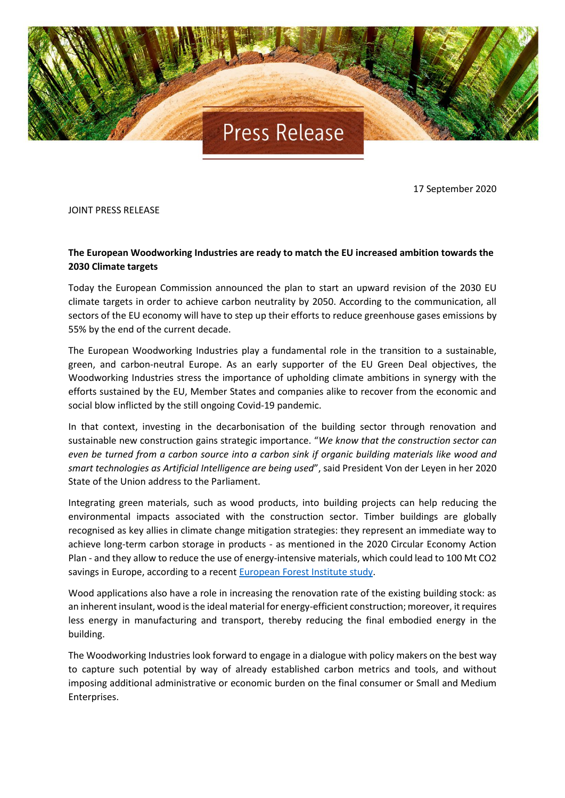

17 September 2020

JOINT PRESS RELEASE

## **The European Woodworking Industries are ready to match the EU increased ambition towards the 2030 Climate targets**

Today the European Commission announced the plan to start an upward revision of the 2030 EU climate targets in order to achieve carbon neutrality by 2050. According to the communication, all sectors of the EU economy will have to step up their efforts to reduce greenhouse gases emissions by 55% by the end of the current decade.

The European Woodworking Industries play a fundamental role in the transition to a sustainable, green, and carbon-neutral Europe. As an early supporter of the EU Green Deal objectives, the Woodworking Industries stress the importance of upholding climate ambitions in synergy with the efforts sustained by the EU, Member States and companies alike to recover from the economic and social blow inflicted by the still ongoing Covid-19 pandemic.

In that context, investing in the decarbonisation of the building sector through renovation and sustainable new construction gains strategic importance. "*We know that the construction sector can even be turned from a carbon source into a carbon sink if organic building materials like wood and smart technologies as Artificial Intelligence are being used*", said President Von der Leyen in her 2020 State of the Union address to the Parliament.

Integrating green materials, such as wood products, into building projects can help reducing the environmental impacts associated with the construction sector. Timber buildings are globally recognised as key allies in climate change mitigation strategies: they represent an immediate way to achieve long-term carbon storage in products - as mentioned in the 2020 Circular Economy Action Plan - and they allow to reduce the use of energy-intensive materials, which could lead to 100 Mt CO2 savings in Europe, according to a recent [European Forest Institute](https://efi.int/publications-bank/seeing-wood-forests) study.

Wood applications also have a role in increasing the renovation rate of the existing building stock: as an inherent insulant, wood is the ideal material for energy-efficient construction; moreover, it requires less energy in manufacturing and transport, thereby reducing the final embodied energy in the building.

The Woodworking Industries look forward to engage in a dialogue with policy makers on the best way to capture such potential by way of already established carbon metrics and tools, and without imposing additional administrative or economic burden on the final consumer or Small and Medium Enterprises.